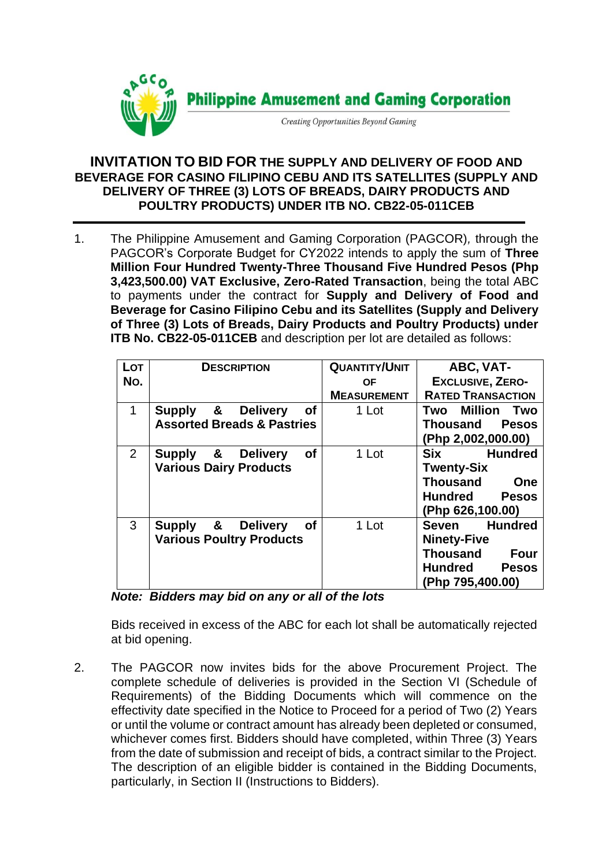

## **INVITATION TO BID FOR THE SUPPLY AND DELIVERY OF FOOD AND BEVERAGE FOR CASINO FILIPINO CEBU AND ITS SATELLITES (SUPPLY AND DELIVERY OF THREE (3) LOTS OF BREADS, DAIRY PRODUCTS AND POULTRY PRODUCTS) UNDER ITB NO. CB22-05-011CEB**

1. The Philippine Amusement and Gaming Corporation (PAGCOR)*,* through the PAGCOR's Corporate Budget for CY2022 intends to apply the sum of **Three Million Four Hundred Twenty-Three Thousand Five Hundred Pesos (Php 3,423,500.00) VAT Exclusive, Zero-Rated Transaction**, being the total ABC to payments under the contract for **Supply and Delivery of Food and Beverage for Casino Filipino Cebu and its Satellites (Supply and Delivery of Three (3) Lots of Breads, Dairy Products and Poultry Products) under ITB No. CB22-05-011CEB** and description per lot are detailed as follows:

| Lot            | <b>DESCRIPTION</b>                                 | <b>QUANTITY/UNIT</b> | ABC, VAT-                      |
|----------------|----------------------------------------------------|----------------------|--------------------------------|
| No.            |                                                    | OF.                  | <b>EXCLUSIVE, ZERO-</b>        |
|                |                                                    | <b>MEASUREMENT</b>   | <b>RATED TRANSACTION</b>       |
| 1              | &<br><b>Delivery</b><br>Supply<br>of               | 1 Lot                | Million<br>Two<br>Two          |
|                | <b>Assorted Breads &amp; Pastries</b>              |                      | <b>Thousand Pesos</b>          |
|                |                                                    |                      | (Php 2,002,000.00)             |
| $\overline{2}$ | Supply &<br><b>of</b><br><b>Delivery</b>           | 1 Lot                | <b>Hundred</b><br><b>Six</b>   |
|                | <b>Various Dairy Products</b>                      |                      | <b>Twenty-Six</b>              |
|                |                                                    |                      | <b>Thousand</b><br>One         |
|                |                                                    |                      | <b>Hundred</b><br>Pesos        |
|                |                                                    |                      | (Php 626,100.00)               |
| 3              | $\alpha$<br><b>of</b><br>Supply<br><b>Delivery</b> | 1 Lot                | <b>Hundred</b><br>Seven        |
|                | <b>Various Poultry Products</b>                    |                      | <b>Ninety-Five</b>             |
|                |                                                    |                      | <b>Thousand</b><br><b>Four</b> |
|                |                                                    |                      | <b>Hundred</b><br><b>Pesos</b> |
|                |                                                    |                      | (Php 795,400.00)               |

*Note: Bidders may bid on any or all of the lots*

Bids received in excess of the ABC for each lot shall be automatically rejected at bid opening.

2. The PAGCOR now invites bids for the above Procurement Project. The complete schedule of deliveries is provided in the Section VI (Schedule of Requirements) of the Bidding Documents which will commence on the effectivity date specified in the Notice to Proceed for a period of Two (2) Years or until the volume or contract amount has already been depleted or consumed, whichever comes first. Bidders should have completed, within Three (3) Years from the date of submission and receipt of bids, a contract similar to the Project. The description of an eligible bidder is contained in the Bidding Documents, particularly, in Section II (Instructions to Bidders).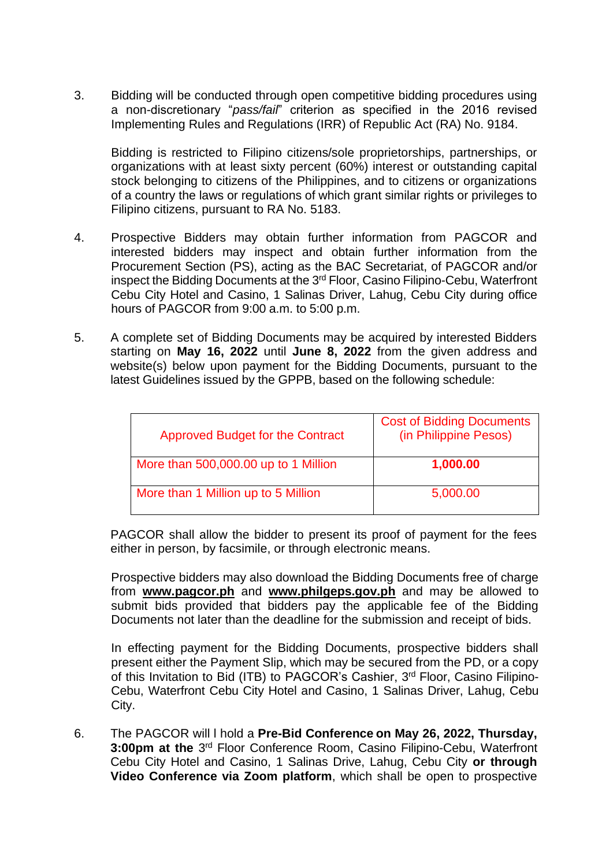3. Bidding will be conducted through open competitive bidding procedures using a non-discretionary "*pass/fail*" criterion as specified in the 2016 revised Implementing Rules and Regulations (IRR) of Republic Act (RA) No. 9184.

Bidding is restricted to Filipino citizens/sole proprietorships, partnerships, or organizations with at least sixty percent (60%) interest or outstanding capital stock belonging to citizens of the Philippines, and to citizens or organizations of a country the laws or regulations of which grant similar rights or privileges to Filipino citizens, pursuant to RA No. 5183.

- 4. Prospective Bidders may obtain further information from PAGCOR and interested bidders may inspect and obtain further information from the Procurement Section (PS), acting as the BAC Secretariat, of PAGCOR and/or inspect the Bidding Documents at the 3rd Floor, Casino Filipino-Cebu, Waterfront Cebu City Hotel and Casino, 1 Salinas Driver, Lahug, Cebu City during office hours of PAGCOR from 9:00 a.m. to 5:00 p.m.
- 5. A complete set of Bidding Documents may be acquired by interested Bidders starting on **May 16, 2022** until **June 8, 2022** from the given address and website(s) below upon payment for the Bidding Documents, pursuant to the latest Guidelines issued by the GPPB, based on the following schedule:

| <b>Approved Budget for the Contract</b> | <b>Cost of Bidding Documents</b><br>(in Philippine Pesos) |
|-----------------------------------------|-----------------------------------------------------------|
| More than 500,000.00 up to 1 Million    | 1,000.00                                                  |
| More than 1 Million up to 5 Million     | 5,000.00                                                  |

PAGCOR shall allow the bidder to present its proof of payment for the fees either in person, by facsimile, or through electronic means.

Prospective bidders may also download the Bidding Documents free of charge from **[www.pagcor.ph](http://www.pagcor.ph/)** and **www.philgeps.gov.ph** and may be allowed to submit bids provided that bidders pay the applicable fee of the Bidding Documents not later than the deadline for the submission and receipt of bids.

In effecting payment for the Bidding Documents, prospective bidders shall present either the Payment Slip, which may be secured from the PD, or a copy of this Invitation to Bid (ITB) to PAGCOR's Cashier, 3<sup>rd</sup> Floor, Casino Filipino-Cebu, Waterfront Cebu City Hotel and Casino, 1 Salinas Driver, Lahug, Cebu City.

6. The PAGCOR will l hold a **Pre-Bid Conference on May 26, 2022, Thursday,**  3:00pm at the 3<sup>rd</sup> Floor Conference Room, Casino Filipino-Cebu, Waterfront Cebu City Hotel and Casino, 1 Salinas Drive, Lahug, Cebu City **or through Video Conference via Zoom platform**, which shall be open to prospective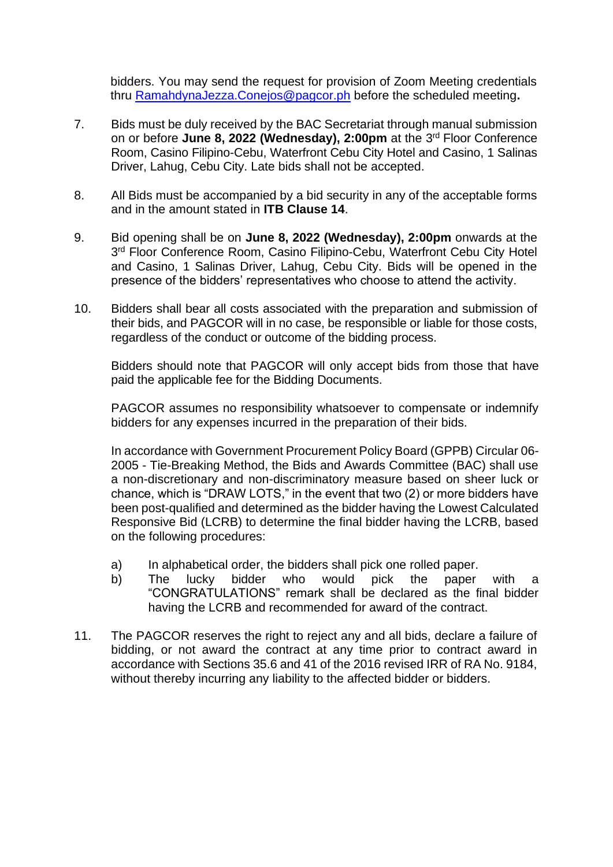bidders. You may send the request for provision of Zoom Meeting credentials thru [RamahdynaJezza.Conejos@pagcor.ph](mailto:RamahdynaJezza.Conejos@pagcor.ph) before the scheduled meeting**.**

- 7. Bids must be duly received by the BAC Secretariat through manual submission on or before June 8, 2022 (Wednesday), 2:00pm at the 3<sup>rd</sup> Floor Conference Room, Casino Filipino-Cebu, Waterfront Cebu City Hotel and Casino, 1 Salinas Driver, Lahug, Cebu City. Late bids shall not be accepted.
- 8. All Bids must be accompanied by a bid security in any of the acceptable forms and in the amount stated in **ITB Clause 14**.
- 9. Bid opening shall be on **June 8, 2022 (Wednesday), 2:00pm** onwards at the 3<sup>rd</sup> Floor Conference Room, Casino Filipino-Cebu, Waterfront Cebu City Hotel and Casino, 1 Salinas Driver, Lahug, Cebu City. Bids will be opened in the presence of the bidders' representatives who choose to attend the activity.
- 10. Bidders shall bear all costs associated with the preparation and submission of their bids, and PAGCOR will in no case, be responsible or liable for those costs, regardless of the conduct or outcome of the bidding process.

Bidders should note that PAGCOR will only accept bids from those that have paid the applicable fee for the Bidding Documents.

PAGCOR assumes no responsibility whatsoever to compensate or indemnify bidders for any expenses incurred in the preparation of their bids.

In accordance with Government Procurement Policy Board (GPPB) Circular 06- 2005 - Tie-Breaking Method, the Bids and Awards Committee (BAC) shall use a non-discretionary and non-discriminatory measure based on sheer luck or chance, which is "DRAW LOTS," in the event that two (2) or more bidders have been post-qualified and determined as the bidder having the Lowest Calculated Responsive Bid (LCRB) to determine the final bidder having the LCRB, based on the following procedures:

- a) In alphabetical order, the bidders shall pick one rolled paper.
- b) The lucky bidder who would pick the paper with a "CONGRATULATIONS" remark shall be declared as the final bidder having the LCRB and recommended for award of the contract.
- 11. The PAGCOR reserves the right to reject any and all bids, declare a failure of bidding, or not award the contract at any time prior to contract award in accordance with Sections 35.6 and 41 of the 2016 revised IRR of RA No. 9184, without thereby incurring any liability to the affected bidder or bidders.